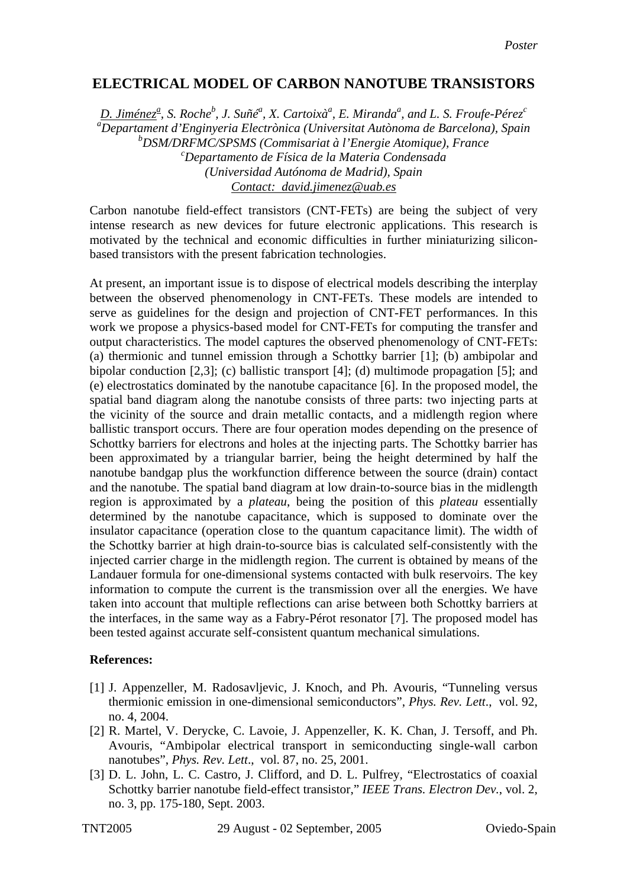## **ELECTRICAL MODEL OF CARBON NANOTUBE TRANSISTORS**

*D. Jiménez<sup>a</sup> , S. Roche<sup>b</sup> , J. Suñé<sup>a</sup> , X. Cartoixàa , E. Miranda<sup>a</sup> , and L. S. Froufe-Pérez<sup>c</sup> a Departament d'Enginyeria Electrònica (Universitat Autònoma de Barcelona), Spain b DSM/DRFMC/SPSMS (Commisariat à l'Energie Atomique), France c Departamento de Física de la Materia Condensada (Universidad Autónoma de Madrid), Spain Contact: [david.jimenez@uab.es](mailto:David.Jimenez@uab.es)*

Carbon nanotube field-effect transistors (CNT-FETs) are being the subject of very intense research as new devices for future electronic applications. This research is motivated by the technical and economic difficulties in further miniaturizing siliconbased transistors with the present fabrication technologies.

At present, an important issue is to dispose of electrical models describing the interplay between the observed phenomenology in CNT-FETs. These models are intended to serve as guidelines for the design and projection of CNT-FET performances. In this work we propose a physics-based model for CNT-FETs for computing the transfer and output characteristics. The model captures the observed phenomenology of CNT-FETs: (a) thermionic and tunnel emission through a Schottky barrier [1]; (b) ambipolar and bipolar conduction [2,3]; (c) ballistic transport [4]; (d) multimode propagation [5]; and (e) electrostatics dominated by the nanotube capacitance [6]. In the proposed model, the spatial band diagram along the nanotube consists of three parts: two injecting parts at the vicinity of the source and drain metallic contacts, and a midlength region where ballistic transport occurs. There are four operation modes depending on the presence of Schottky barriers for electrons and holes at the injecting parts. The Schottky barrier has been approximated by a triangular barrier, being the height determined by half the nanotube bandgap plus the workfunction difference between the source (drain) contact and the nanotube. The spatial band diagram at low drain-to-source bias in the midlength region is approximated by a *plateau*, being the position of this *plateau* essentially determined by the nanotube capacitance, which is supposed to dominate over the insulator capacitance (operation close to the quantum capacitance limit). The width of the Schottky barrier at high drain-to-source bias is calculated self-consistently with the injected carrier charge in the midlength region. The current is obtained by means of the Landauer formula for one-dimensional systems contacted with bulk reservoirs. The key information to compute the current is the transmission over all the energies. We have taken into account that multiple reflections can arise between both Schottky barriers at the interfaces, in the same way as a Fabry-Pérot resonator [7]. The proposed model has been tested against accurate self-consistent quantum mechanical simulations.

## **References:**

- [1] J. Appenzeller, M. Radosavljevic, J. Knoch, and Ph. Avouris, "Tunneling versus thermionic emission in one-dimensional semiconductors", *Phys. Rev. Lett*., vol. 92, no. 4, 2004.
- [2] R. Martel, V. Derycke, C. Lavoie, J. Appenzeller, K. K. Chan, J. Tersoff, and Ph. Avouris, "Ambipolar electrical transport in semiconducting single-wall carbon nanotubes", *Phys. Rev. Lett*., vol. 87, no. 25, 2001.
- [3] D. L. John, L. C. Castro, J. Clifford, and D. L. Pulfrey, "Electrostatics of coaxial Schottky barrier nanotube field-effect transistor," *IEEE Trans. Electron Dev.*, vol. 2, no. 3, pp. 175-180, Sept. 2003.